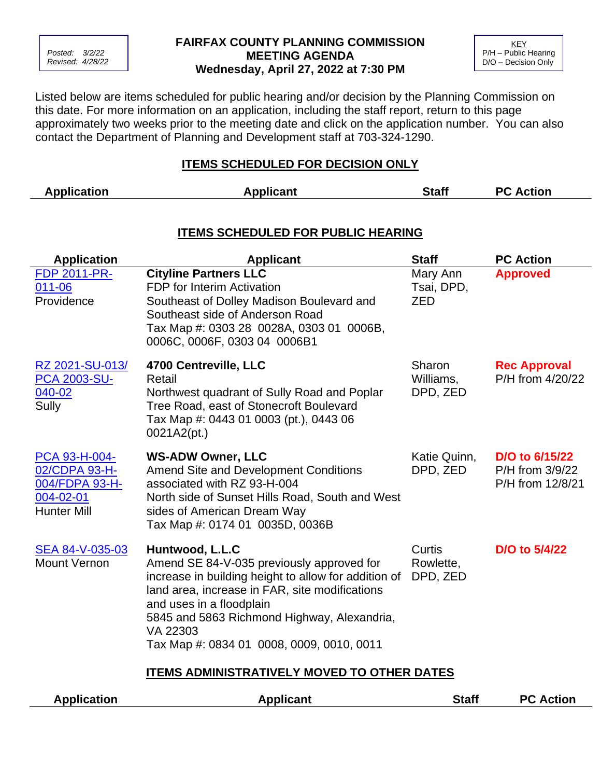

## **FAIRFAX COUNTY PLANNING COMMISSION MEETING AGENDA Wednesday, April 27, 2022 at 7:30 PM**



Listed below are items scheduled for public hearing and/or decision by the Planning Commission on this date. For more information on an application, including the staff report, return to this page approximately two weeks prior to the meeting date and click on the application number. You can also contact the Department of Planning and Development staff at 703-324-1290.

## **ITEMS SCHEDULED FOR DECISION ONLY**

| <b>Application</b>                                                                  | <b>Applicant</b>                                                                                                                                                                                                                                                                                           | <b>Staff</b>                    | <b>PC Action</b>                                      |  |  |  |  |
|-------------------------------------------------------------------------------------|------------------------------------------------------------------------------------------------------------------------------------------------------------------------------------------------------------------------------------------------------------------------------------------------------------|---------------------------------|-------------------------------------------------------|--|--|--|--|
| <b>ITEMS SCHEDULED FOR PUBLIC HEARING</b>                                           |                                                                                                                                                                                                                                                                                                            |                                 |                                                       |  |  |  |  |
| <b>Application</b>                                                                  | <b>Applicant</b>                                                                                                                                                                                                                                                                                           | <b>Staff</b>                    | <b>PC Action</b>                                      |  |  |  |  |
| <b>FDP 2011-PR-</b><br>011-06<br>Providence                                         | <b>Cityline Partners LLC</b><br><b>FDP</b> for Interim Activation<br>Southeast of Dolley Madison Boulevard and<br>Southeast side of Anderson Road<br>Tax Map #: 0303 28 0028A, 0303 01 0006B,<br>0006C, 0006F, 0303 04 0006B1                                                                              | Mary Ann<br>Tsai, DPD,<br>ZED   | <b>Approved</b>                                       |  |  |  |  |
| RZ 2021-SU-013/<br><b>PCA 2003-SU-</b><br>040-02<br>Sully                           | 4700 Centreville, LLC<br>Retail<br>Northwest quadrant of Sully Road and Poplar<br>Tree Road, east of Stonecroft Boulevard<br>Tax Map #: 0443 01 0003 (pt.), 0443 06<br>0021A2(pt.)                                                                                                                         | Sharon<br>Williams,<br>DPD, ZED | <b>Rec Approval</b><br>P/H from 4/20/22               |  |  |  |  |
| PCA 93-H-004-<br>02/CDPA 93-H-<br>004/FDPA 93-H-<br>004-02-01<br><b>Hunter Mill</b> | <b>WS-ADW Owner, LLC</b><br><b>Amend Site and Development Conditions</b><br>associated with RZ 93-H-004<br>North side of Sunset Hills Road, South and West<br>sides of American Dream Way<br>Tax Map #: 0174 01 0035D, 0036B                                                                               | Katie Quinn,<br>DPD, ZED        | D/O to 6/15/22<br>P/H from 3/9/22<br>P/H from 12/8/21 |  |  |  |  |
| SEA 84-V-035-03<br><b>Mount Vernon</b>                                              | Huntwood, L.L.C<br>Amend SE 84-V-035 previously approved for<br>increase in building height to allow for addition of<br>land area, increase in FAR, site modifications<br>and uses in a floodplain<br>5845 and 5863 Richmond Highway, Alexandria,<br>VA 22303<br>Tax Map #: 0834 01 0008, 0009, 0010, 0011 | Curtis<br>Rowlette,<br>DPD, ZED | D/O to 5/4/22                                         |  |  |  |  |
| <b>ITEMS ADMINISTRATIVELY MOVED TO OTHER DATES</b>                                  |                                                                                                                                                                                                                                                                                                            |                                 |                                                       |  |  |  |  |
| <b>Application</b>                                                                  | <b>Applicant</b>                                                                                                                                                                                                                                                                                           | <b>Staff</b>                    | <b>PC Action</b>                                      |  |  |  |  |